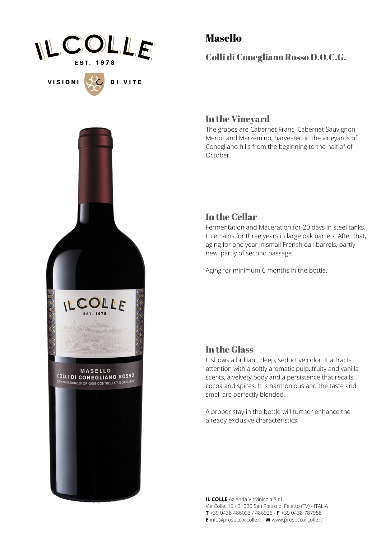

VISIONI<sup>5</sup>

DI VITE

Masello

Colli di Conegliano Rosso D.O.C.G.

#### In the Vineyard

The grapes are Cabernet Franc, Cabernet Sauvignon, Merlot and Marzemino, harvested in the vineyards of Conegliano hills from the beginning to the half of of October.

### In the Cellar

Fermentation and Maceration for 20 days in steel tanks. It remains for three years in large oak barrels. After that, aging for one year in small French oak barrels, partly new, partly of second passage.

Aging for minimum 6 months in the bottle.

#### In the Glass

It shows a brilliant, deep, seductive color. It attracts attention with a softly aromatic pulp, fruity and vanilla scents, a velvety body and a persistence that recalls cocoa and spices. It is harmonious and the taste and smell are perfectly blended.

A proper stay in the bottle will further enhance the already exclusive characteristics.

**IL COLLE** Azienda Vitivinicola S.r.l. Via Colle, 15 - 31020 San Pietro di Feletto (TV) - ITALIA **T** +39 0438 486093 / 486926 - **F** +39 0438 787958 **E** info@proseccoilcolle.it - **W** www.proseccoilcolle.it